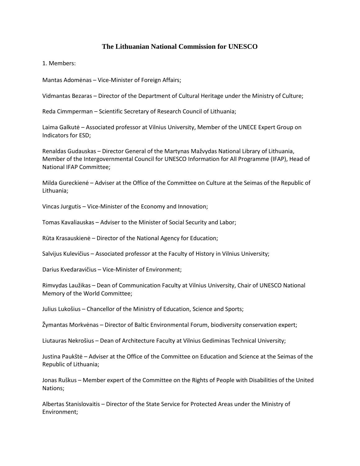## **The Lithuanian National Commission for UNESCO**

1. Members:

Mantas Adomėnas – Vice-Minister of Foreign Affairs;

Vidmantas Bezaras – Director of the Department of Cultural Heritage under the Ministry of Culture;

Reda Cimmperman – Scientific Secretary of Research Council of Lithuania;

Laima Galkutė – Associated professor at Vilnius University, Member of the UNECE Expert Group on Indicators for ESD;

Renaldas Gudauskas – Director General of the Martynas Mažvydas National Library of Lithuania, Member of the Intergovernmental Council for UNESCO Information for All Programme (IFAP), Head of National IFAP Committee;

Milda Gureckienė – Adviser at the Office of the Committee on Culture at the Seimas of the Republic of Lithuania;

Vincas Jurgutis – Vice-Minister of the Economy and Innovation;

Tomas Kavaliauskas – Adviser to the Minister of Social Security and Labor;

Rūta Krasauskienė – Director of the National Agency for Education;

Salvijus Kulevičius – Associated professor at the Faculty of History in Vilnius University;

Darius Kvedaravičius – Vice-Minister of Environment;

Rimvydas Laužikas – Dean of Communication Faculty at Vilnius University, Chair of UNESCO National Memory of the World Committee;

Julius Lukošius – Chancellor of the Ministry of Education, Science and Sports;

Žymantas Morkvėnas – Director of Baltic Environmental Forum, biodiversity conservation expert;

Liutauras Nekrošius – Dean of Architecture Faculty at Vilnius Gediminas Technical University;

Justina Paukštė – Adviser at the Office of the Committee on Education and Science at the Seimas of the Republic of Lithuania;

Jonas Ruškus – Member expert of the Committee on the Rights of People with Disabilities of the United Nations;

Albertas Stanislovaitis – Director of the State Service for Protected Areas under the Ministry of Environment;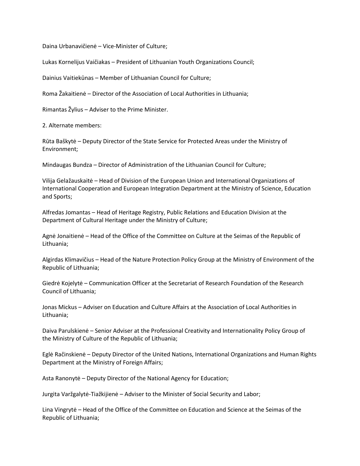Daina Urbanavičienė – Vice-Minister of Culture;

Lukas Kornelijus Vaičiakas – President of Lithuanian Youth Organizations Council;

Dainius Vaitiekūnas – Member of Lithuanian Council for Culture;

Roma Žakaitienė – Director of the Association of Local Authorities in Lithuania;

Rimantas Žylius – Adviser to the Prime Minister.

2. Alternate members:

Rūta Baškytė – Deputy Director of the State Service for Protected Areas under the Ministry of Environment;

Mindaugas Bundza – Director of Administration of the Lithuanian Council for Culture;

Vilija Gelažauskaitė – Head of Division of the European Union and International Organizations of International Cooperation and European Integration Department at the Ministry of Science, Education and Sports;

Alfredas Jomantas – Head of Heritage Registry, Public Relations and Education Division at the Department of Cultural Heritage under the Ministry of Culture;

Agnė Jonaitienė – Head of the Office of the Committee on Culture at the Seimas of the Republic of Lithuania;

Algirdas Klimavičius – Head of the Nature Protection Policy Group at the Ministry of Environment of the Republic of Lithuania;

Giedrė Kojelytė – Communication Officer at the Secretariat of Research Foundation of the Research Council of Lithuania;

Jonas Mickus – Adviser on Education and Culture Affairs at the Association of Local Authorities in Lithuania;

Daiva Parulskienė – Senior Adviser at the Professional Creativity and Internationality Policy Group of the Ministry of Culture of the Republic of Lithuania;

Eglė Račinskienė – Deputy Director of the United Nations, International Organizations and Human Rights Department at the Ministry of Foreign Affairs;

Asta Ranonytė – Deputy Director of the National Agency for Education;

Jurgita Varžgalytė-Tiažkijienė – Adviser to the Minister of Social Security and Labor;

Lina Vingrytė – Head of the Office of the Committee on Education and Science at the Seimas of the Republic of Lithuania;